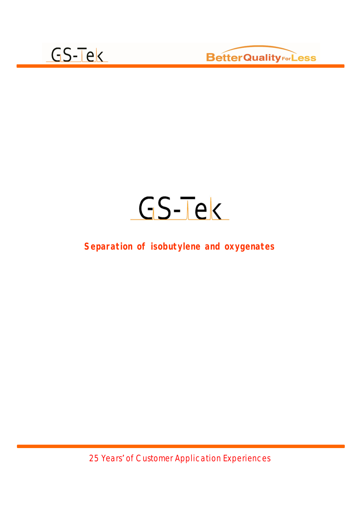



#### **Separation of isobutylene and oxygenates**

25 Years' of Customer Application Experiences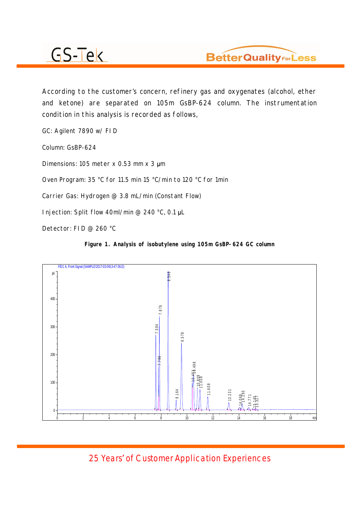

According to the customer's concern, refinery gas and oxygenates (alcohol, ether and ketone) are separated on 105m GsBP-624 column. The instrumentation condition in this analysis is recorded as follows,

GC: Agilent 7890 w/ FID

Column: GsBP-624

Dimensions: 105 meter  $x$  0.53 mm  $x$  3  $\mu$ m

Oven Program: 35 °C for 11.5 min 15 °C/min to 120 °C for 1min

Carrier Gas: Hydrogen @ 3.8 mL/min (Constant Flow)

Injection: Split flow 40ml/min @ 240 °C, 0.1  $\mu$ L

Detector: FID @ 260 °C

**Figure 1. Analysis of isobutylene using 105m GsBP-624 GC column** 



Years' of Customer Application Experiences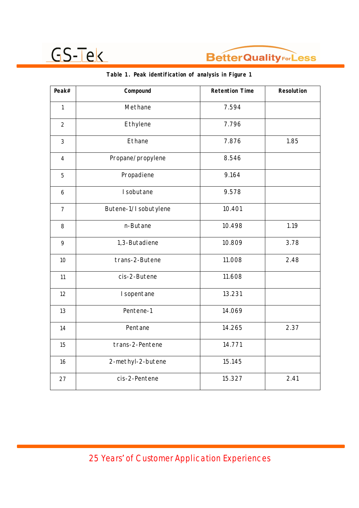

| Peak#            | Compound              | <b>Retention Time</b> | Resolution |
|------------------|-----------------------|-----------------------|------------|
| $\mathbf{1}$     | Methane               | 7.594                 |            |
| $\overline{2}$   | Ethylene              | 7.796                 |            |
| $\overline{3}$   | Ethane                | 7.876                 | 1.85       |
| $\overline{4}$   | Propane/propylene     | 8.546                 |            |
| 5                | Propadiene            | 9.164                 |            |
| $\boldsymbol{6}$ | I sobutane            | 9.578                 |            |
| $\overline{7}$   | Butene-1/I sobutylene | 10.401                |            |
| 8                | n-Butane              | 10.498                | 1.19       |
| 9                | 1,3-Butadiene         | 10.809                | 3.78       |
| 10               | trans-2-Butene        | 11.008                | 2.48       |
| 11               | cis-2-Butene          | 11.608                |            |
| 12               | I sopentane           | 13.231                |            |
| 13               | Pentene-1             | 14.069                |            |
| 14               | Pentane               | 14.265                | 2.37       |
| 15               | trans-2-Pentene       | 14.771                |            |
| 16               | 2-methyl-2-butene     | 15.145                |            |
| 27               | cis-2-Pentene         | 15.327                | 2.41       |

#### **Table 1. Peak identification of analysis in Figure 1**